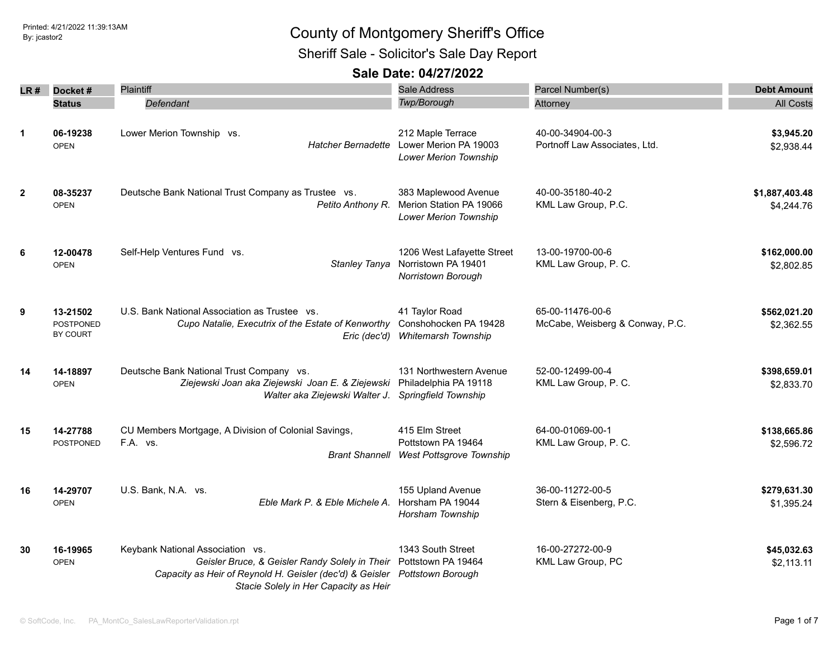Sheriff Sale - Solicitor's Sale Day Report

| LR #                 | Docket#                                  | Plaintiff                                                                                                                                                                                                 | <b>Sale Address</b>                                                                    | Parcel Number(s)                                    | <b>Debt Amount</b>           |
|----------------------|------------------------------------------|-----------------------------------------------------------------------------------------------------------------------------------------------------------------------------------------------------------|----------------------------------------------------------------------------------------|-----------------------------------------------------|------------------------------|
|                      | <b>Status</b>                            | Defendant                                                                                                                                                                                                 | Twp/Borough                                                                            | Attorney                                            | <b>All Costs</b>             |
| $\blacktriangleleft$ | 06-19238<br><b>OPEN</b>                  | Lower Merion Township vs.<br>Hatcher Bernadette                                                                                                                                                           | 212 Maple Terrace<br>Lower Merion PA 19003<br><b>Lower Merion Township</b>             | 40-00-34904-00-3<br>Portnoff Law Associates, Ltd.   | \$3,945.20<br>\$2,938.44     |
| $\mathbf{2}$         | 08-35237<br><b>OPEN</b>                  | Deutsche Bank National Trust Company as Trustee vs.<br>Petito Anthony R.                                                                                                                                  | 383 Maplewood Avenue<br>Merion Station PA 19066<br><b>Lower Merion Township</b>        | 40-00-35180-40-2<br>KML Law Group, P.C.             | \$1,887,403.48<br>\$4,244.76 |
| 6                    | 12-00478<br><b>OPEN</b>                  | Self-Help Ventures Fund vs.<br>Stanley Tanya                                                                                                                                                              | 1206 West Lafayette Street<br>Norristown PA 19401<br>Norristown Borough                | 13-00-19700-00-6<br>KML Law Group, P. C.            | \$162,000.00<br>\$2,802.85   |
| 9                    | 13-21502<br><b>POSTPONED</b><br>BY COURT | U.S. Bank National Association as Trustee vs.<br>Cupo Natalie, Executrix of the Estate of Kenworthy Conshohocken PA 19428                                                                                 | 41 Taylor Road<br>Eric (dec'd) Whitemarsh Township                                     | 65-00-11476-00-6<br>McCabe, Weisberg & Conway, P.C. | \$562,021.20<br>\$2,362.55   |
| 14                   | 14-18897<br><b>OPEN</b>                  | Deutsche Bank National Trust Company vs.<br>Ziejewski Joan aka Ziejewski Joan E. & Ziejewski<br>Walter aka Ziejewski Walter J.                                                                            | 131 Northwestern Avenue<br>Philadelphia PA 19118<br>Springfield Township               | 52-00-12499-00-4<br>KML Law Group, P. C.            | \$398,659.01<br>\$2,833.70   |
| 15                   | 14-27788<br><b>POSTPONED</b>             | CU Members Mortgage, A Division of Colonial Savings,<br>F.A. vs.                                                                                                                                          | 415 Elm Street<br>Pottstown PA 19464<br><b>Brant Shannell West Pottsgrove Township</b> | 64-00-01069-00-1<br>KML Law Group, P. C.            | \$138,665.86<br>\$2,596.72   |
| 16                   | 14-29707<br><b>OPEN</b>                  | U.S. Bank, N.A. vs.<br>Eble Mark P. & Eble Michele A.                                                                                                                                                     | 155 Upland Avenue<br>Horsham PA 19044<br>Horsham Township                              | 36-00-11272-00-5<br>Stern & Eisenberg, P.C.         | \$279,631.30<br>\$1,395.24   |
| 30                   | 16-19965<br><b>OPEN</b>                  | Keybank National Association vs.<br>Geisler Bruce, & Geisler Randy Solely in Their<br>Capacity as Heir of Reynold H. Geisler (dec'd) & Geisler Pottstown Borough<br>Stacie Solely in Her Capacity as Heir | 1343 South Street<br>Pottstown PA 19464                                                | 16-00-27272-00-9<br>KML Law Group, PC               | \$45,032.63<br>\$2,113.11    |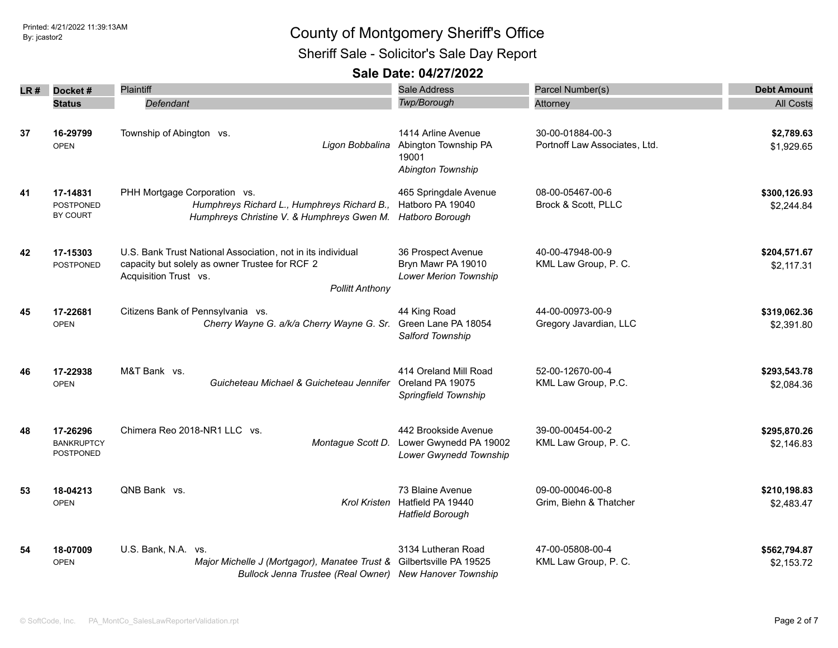Sheriff Sale - Solicitor's Sale Day Report

| LR # | Docket #                                   | <b>Plaintiff</b>                                                                                                                                                 | <b>Sale Address</b>                                                      | Parcel Number(s)                                  | <b>Debt Amount</b>         |
|------|--------------------------------------------|------------------------------------------------------------------------------------------------------------------------------------------------------------------|--------------------------------------------------------------------------|---------------------------------------------------|----------------------------|
|      | <b>Status</b>                              | Defendant                                                                                                                                                        | Twp/Borough                                                              | Attorney                                          | <b>All Costs</b>           |
|      |                                            |                                                                                                                                                                  |                                                                          |                                                   |                            |
| 37   | 16-29799<br><b>OPEN</b>                    | Township of Abington vs.<br>Ligon Bobbalina                                                                                                                      | 1414 Arline Avenue<br>Abington Township PA<br>19001<br>Abington Township | 30-00-01884-00-3<br>Portnoff Law Associates, Ltd. | \$2,789.63<br>\$1,929.65   |
| 41   | 17-14831<br><b>POSTPONED</b><br>BY COURT   | PHH Mortgage Corporation vs.<br>Humphreys Richard L., Humphreys Richard B.,<br>Humphreys Christine V. & Humphreys Gwen M. Hatboro Borough                        | 465 Springdale Avenue<br>Hatboro PA 19040                                | 08-00-05467-00-6<br>Brock & Scott, PLLC           | \$300,126.93<br>\$2,244.84 |
| 42   | 17-15303<br>POSTPONED                      | U.S. Bank Trust National Association, not in its individual<br>capacity but solely as owner Trustee for RCF 2<br>Acquisition Trust vs.<br><b>Pollitt Anthony</b> | 36 Prospect Avenue<br>Bryn Mawr PA 19010<br>Lower Merion Township        | 40-00-47948-00-9<br>KML Law Group, P. C.          | \$204,571.67<br>\$2,117.31 |
| 45   | 17-22681<br><b>OPEN</b>                    | Citizens Bank of Pennsylvania vs.<br>Cherry Wayne G. a/k/a Cherry Wayne G. Sr. Green Lane PA 18054                                                               | 44 King Road<br>Salford Township                                         | 44-00-00973-00-9<br>Gregory Javardian, LLC        | \$319,062.36<br>\$2,391.80 |
| 46   | 17-22938<br><b>OPEN</b>                    | M&T Bank vs.<br>Guicheteau Michael & Guicheteau Jennifer                                                                                                         | 414 Oreland Mill Road<br>Oreland PA 19075<br>Springfield Township        | 52-00-12670-00-4<br>KML Law Group, P.C.           | \$293,543.78<br>\$2,084.36 |
| 48   | 17-26296<br><b>BANKRUPTCY</b><br>POSTPONED | Chimera Reo 2018-NR1 LLC vs.<br>Montague Scott D.                                                                                                                | 442 Brookside Avenue<br>Lower Gwynedd PA 19002<br>Lower Gwynedd Township | 39-00-00454-00-2<br>KML Law Group, P. C.          | \$295,870.26<br>\$2,146.83 |
| 53   | 18-04213<br><b>OPEN</b>                    | QNB Bank vs.<br><b>Krol Kristen</b>                                                                                                                              | 73 Blaine Avenue<br>Hatfield PA 19440<br><b>Hatfield Borough</b>         | 09-00-00046-00-8<br>Grim, Biehn & Thatcher        | \$210,198.83<br>\$2,483.47 |
| 54   | 18-07009<br><b>OPEN</b>                    | U.S. Bank, N.A. vs.<br>Major Michelle J (Mortgagor), Manatee Trust &<br>Bullock Jenna Trustee (Real Owner) New Hanover Township                                  | 3134 Lutheran Road<br>Gilbertsville PA 19525                             | 47-00-05808-00-4<br>KML Law Group, P. C.          | \$562,794.87<br>\$2,153.72 |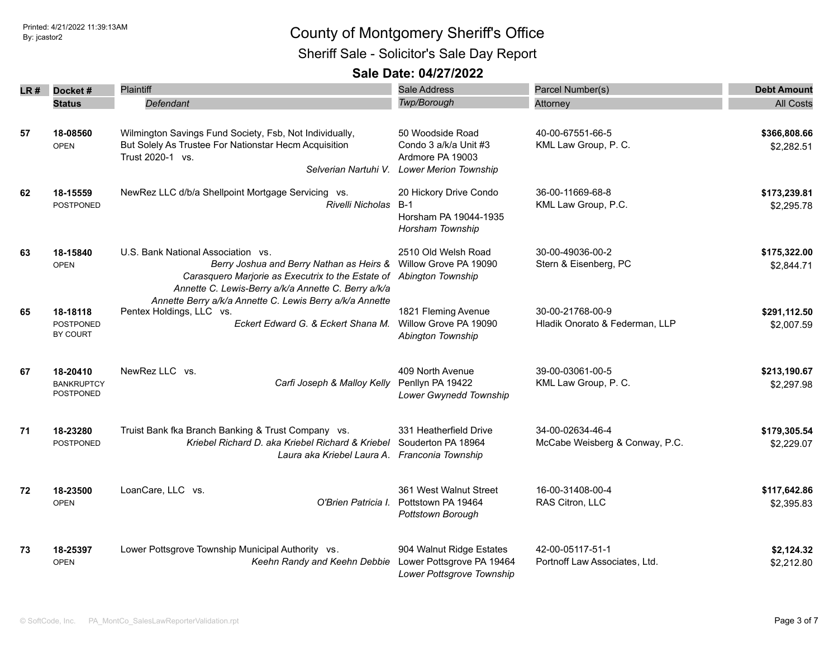## Printed: 4/21/2022 11:39:13AM **By: jcastor2** County of Montgomery Sheriff's Office Sheriff Sale - Solicitor's Sale Day Report

|      |                                            | Plaintiff                                                                                                                                                                                  | <b>Sale Address</b>                                                                           | Parcel Number(s)                                   |                            |
|------|--------------------------------------------|--------------------------------------------------------------------------------------------------------------------------------------------------------------------------------------------|-----------------------------------------------------------------------------------------------|----------------------------------------------------|----------------------------|
| LR # | Docket#                                    |                                                                                                                                                                                            | Twp/Borough                                                                                   |                                                    | <b>Debt Amount</b>         |
|      | <b>Status</b>                              | Defendant                                                                                                                                                                                  |                                                                                               | Attorney                                           | <b>All Costs</b>           |
| 57   | 18-08560<br><b>OPEN</b>                    | Wilmington Savings Fund Society, Fsb, Not Individually,<br>But Solely As Trustee For Nationstar Hecm Acquisition<br>Trust 2020-1 vs.<br>Selverian Nartuhi V.                               | 50 Woodside Road<br>Condo 3 a/k/a Unit #3<br>Ardmore PA 19003<br><b>Lower Merion Township</b> | 40-00-67551-66-5<br>KML Law Group, P. C.           | \$366,808.66<br>\$2,282.51 |
| 62   | 18-15559<br><b>POSTPONED</b>               | NewRez LLC d/b/a Shellpoint Mortgage Servicing vs.<br>Rivelli Nicholas                                                                                                                     | 20 Hickory Drive Condo<br>$B-1$<br>Horsham PA 19044-1935<br>Horsham Township                  | 36-00-11669-68-8<br>KML Law Group, P.C.            | \$173,239.81<br>\$2,295.78 |
| 63   | 18-15840<br><b>OPEN</b>                    | U.S. Bank National Association vs.<br>Berry Joshua and Berry Nathan as Heirs &<br>Carasquero Marjorie as Executrix to the Estate of<br>Annette C. Lewis-Berry a/k/a Annette C. Berry a/k/a | 2510 Old Welsh Road<br>Willow Grove PA 19090<br>Abington Township                             | 30-00-49036-00-2<br>Stern & Eisenberg, PC          | \$175,322.00<br>\$2,844.71 |
| 65   | 18-18118<br><b>POSTPONED</b><br>BY COURT   | Annette Berry a/k/a Annette C. Lewis Berry a/k/a Annette<br>Pentex Holdings, LLC vs.<br>Eckert Edward G. & Eckert Shana M.                                                                 | 1821 Fleming Avenue<br>Willow Grove PA 19090<br>Abington Township                             | 30-00-21768-00-9<br>Hladik Onorato & Federman, LLP | \$291,112.50<br>\$2,007.59 |
| 67   | 18-20410<br><b>BANKRUPTCY</b><br>POSTPONED | NewRez LLC vs.<br>Carfi Joseph & Malloy Kelly                                                                                                                                              | 409 North Avenue<br>Penllyn PA 19422<br>Lower Gwynedd Township                                | 39-00-03061-00-5<br>KML Law Group, P. C.           | \$213,190.67<br>\$2,297.98 |
| 71   | 18-23280<br>POSTPONED                      | Truist Bank fka Branch Banking & Trust Company vs.<br>Kriebel Richard D. aka Kriebel Richard & Kriebel<br>Laura aka Kriebel Laura A.                                                       | 331 Heatherfield Drive<br>Souderton PA 18964<br>Franconia Township                            | 34-00-02634-46-4<br>McCabe Weisberg & Conway, P.C. | \$179,305.54<br>\$2,229.07 |
| 72   | 18-23500<br><b>OPEN</b>                    | LoanCare, LLC vs.<br>O'Brien Patricia I.                                                                                                                                                   | 361 West Walnut Street<br>Pottstown PA 19464<br>Pottstown Borough                             | 16-00-31408-00-4<br>RAS Citron, LLC                | \$117,642.86<br>\$2,395.83 |
| 73   | 18-25397<br><b>OPEN</b>                    | Lower Pottsgrove Township Municipal Authority vs.<br>Keehn Randy and Keehn Debbie                                                                                                          | 904 Walnut Ridge Estates<br>Lower Pottsgrove PA 19464<br>Lower Pottsgrove Township            | 42-00-05117-51-1<br>Portnoff Law Associates, Ltd.  | \$2,124.32<br>\$2,212.80   |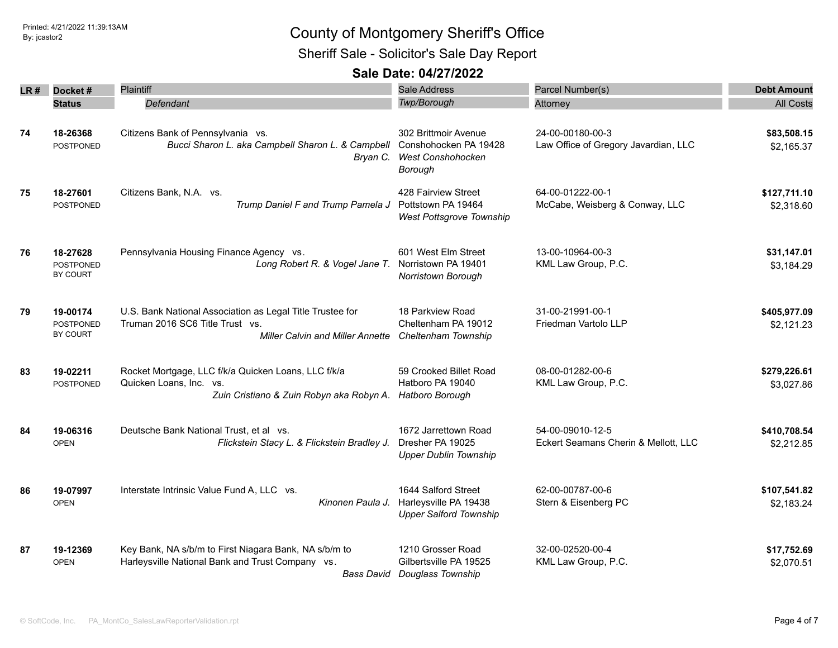Sheriff Sale - Solicitor's Sale Day Report

| LR # | Docket#                                  | Plaintiff                                                                                                                               | <b>Sale Address</b>                                                                  | Parcel Number(s)                                         | <b>Debt Amount</b>         |
|------|------------------------------------------|-----------------------------------------------------------------------------------------------------------------------------------------|--------------------------------------------------------------------------------------|----------------------------------------------------------|----------------------------|
|      | <b>Status</b>                            | Defendant                                                                                                                               | Twp/Borough                                                                          | Attorney                                                 | <b>All Costs</b>           |
| 74   | 18-26368<br><b>POSTPONED</b>             | Citizens Bank of Pennsylvania vs.<br>Bucci Sharon L. aka Campbell Sharon L. & Campbell<br>Bryan C.                                      | 302 Brittmoir Avenue<br>Conshohocken PA 19428<br><b>West Conshohocken</b><br>Borough | 24-00-00180-00-3<br>Law Office of Gregory Javardian, LLC | \$83,508.15<br>\$2,165.37  |
| 75   | 18-27601<br><b>POSTPONED</b>             | Citizens Bank, N.A. vs.<br>Trump Daniel F and Trump Pamela J                                                                            | 428 Fairview Street<br>Pottstown PA 19464<br><b>West Pottsgrove Township</b>         | 64-00-01222-00-1<br>McCabe, Weisberg & Conway, LLC       | \$127,711.10<br>\$2,318.60 |
| 76   | 18-27628<br><b>POSTPONED</b><br>BY COURT | Pennsylvania Housing Finance Agency vs.<br>Long Robert R. & Vogel Jane T.                                                               | 601 West Elm Street<br>Norristown PA 19401<br>Norristown Borough                     | 13-00-10964-00-3<br>KML Law Group, P.C.                  | \$31,147.01<br>\$3,184.29  |
| 79   | 19-00174<br><b>POSTPONED</b><br>BY COURT | U.S. Bank National Association as Legal Title Trustee for<br>Truman 2016 SC6 Title Trust vs.<br><b>Miller Calvin and Miller Annette</b> | 18 Parkview Road<br>Cheltenham PA 19012<br>Cheltenham Township                       | 31-00-21991-00-1<br>Friedman Vartolo LLP                 | \$405,977.09<br>\$2,121.23 |
| 83   | 19-02211<br><b>POSTPONED</b>             | Rocket Mortgage, LLC f/k/a Quicken Loans, LLC f/k/a<br>Quicken Loans, Inc. vs.<br>Zuin Cristiano & Zuin Robyn aka Robyn A.              | 59 Crooked Billet Road<br>Hatboro PA 19040<br>Hatboro Borough                        | 08-00-01282-00-6<br>KML Law Group, P.C.                  | \$279,226.61<br>\$3,027.86 |
| 84   | 19-06316<br><b>OPEN</b>                  | Deutsche Bank National Trust, et al vs.<br>Flickstein Stacy L. & Flickstein Bradley J.                                                  | 1672 Jarrettown Road<br>Dresher PA 19025<br><b>Upper Dublin Township</b>             | 54-00-09010-12-5<br>Eckert Seamans Cherin & Mellott, LLC | \$410,708.54<br>\$2,212.85 |
| 86   | 19-07997<br><b>OPEN</b>                  | Interstate Intrinsic Value Fund A, LLC vs.<br>Kinonen Paula J.                                                                          | 1644 Salford Street<br>Harleysville PA 19438<br><b>Upper Salford Township</b>        | 62-00-00787-00-6<br>Stern & Eisenberg PC                 | \$107,541.82<br>\$2,183.24 |
| 87   | 19-12369<br><b>OPEN</b>                  | Key Bank, NA s/b/m to First Niagara Bank, NA s/b/m to<br>Harleysville National Bank and Trust Company vs.<br>Bass David                 | 1210 Grosser Road<br>Gilbertsville PA 19525<br>Douglass Township                     | 32-00-02520-00-4<br>KML Law Group, P.C.                  | \$17,752.69<br>\$2,070.51  |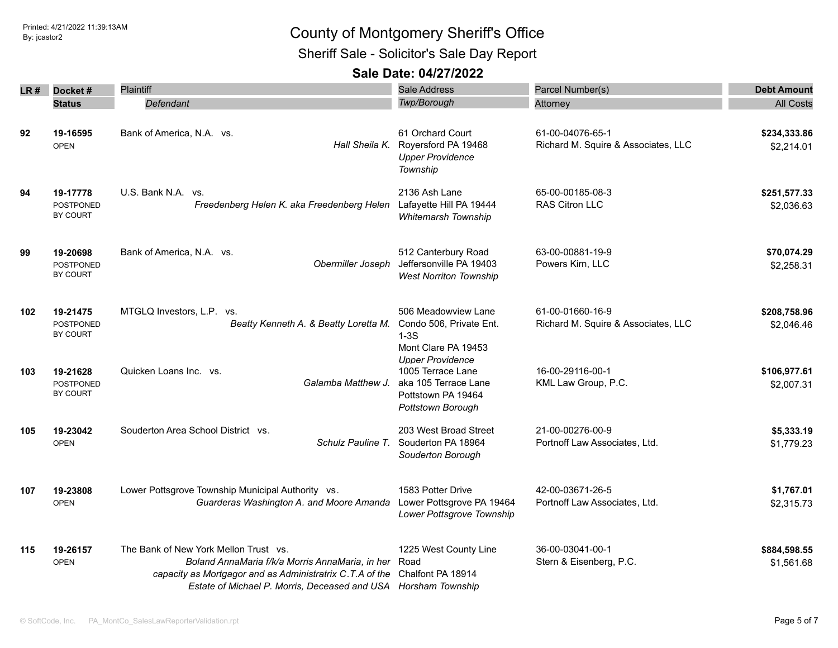Sheriff Sale - Solicitor's Sale Day Report

| LR # | Docket#                                         | Plaintiff                                                                                                                                                                                                              | <b>Sale Address</b>                                                                                             | Parcel Number(s)                                        | <b>Debt Amount</b>         |
|------|-------------------------------------------------|------------------------------------------------------------------------------------------------------------------------------------------------------------------------------------------------------------------------|-----------------------------------------------------------------------------------------------------------------|---------------------------------------------------------|----------------------------|
|      | <b>Status</b>                                   | Defendant                                                                                                                                                                                                              | Twp/Borough                                                                                                     | Attorney                                                | <b>All Costs</b>           |
| 92   | 19-16595<br><b>OPEN</b>                         | Bank of America, N.A. vs.<br>Hall Sheila K.                                                                                                                                                                            | 61 Orchard Court<br>Royersford PA 19468<br><b>Upper Providence</b><br>Township                                  | 61-00-04076-65-1<br>Richard M. Squire & Associates, LLC | \$234,333.86<br>\$2,214.01 |
| 94   | 19-17778<br><b>POSTPONED</b><br>BY COURT        | U.S. Bank N.A. vs.<br>Freedenberg Helen K. aka Freedenberg Helen                                                                                                                                                       | 2136 Ash Lane<br>Lafayette Hill PA 19444<br><b>Whitemarsh Township</b>                                          | 65-00-00185-08-3<br><b>RAS Citron LLC</b>               | \$251,577.33<br>\$2,036.63 |
| 99   | 19-20698<br><b>POSTPONED</b><br><b>BY COURT</b> | Bank of America, N.A. vs.<br>Obermiller Joseph                                                                                                                                                                         | 512 Canterbury Road<br>Jeffersonville PA 19403<br><b>West Norriton Township</b>                                 | 63-00-00881-19-9<br>Powers Kirn, LLC                    | \$70,074.29<br>\$2,258.31  |
| 102  | 19-21475<br><b>POSTPONED</b><br>BY COURT        | MTGLQ Investors, L.P. vs.<br>Beatty Kenneth A. & Beatty Loretta M.                                                                                                                                                     | 506 Meadowview Lane<br>Condo 506, Private Ent.<br>$1-3S$<br>Mont Clare PA 19453                                 | 61-00-01660-16-9<br>Richard M. Squire & Associates, LLC | \$208,758.96<br>\$2,046.46 |
| 103  | 19-21628<br><b>POSTPONED</b><br><b>BY COURT</b> | Quicken Loans Inc. vs.<br>Galamba Matthew J.                                                                                                                                                                           | <b>Upper Providence</b><br>1005 Terrace Lane<br>aka 105 Terrace Lane<br>Pottstown PA 19464<br>Pottstown Borough | 16-00-29116-00-1<br>KML Law Group, P.C.                 | \$106,977.61<br>\$2,007.31 |
| 105  | 19-23042<br><b>OPEN</b>                         | Souderton Area School District vs.<br>Schulz Pauline T.                                                                                                                                                                | 203 West Broad Street<br>Souderton PA 18964<br>Souderton Borough                                                | 21-00-00276-00-9<br>Portnoff Law Associates, Ltd.       | \$5,333.19<br>\$1,779.23   |
| 107  | 19-23808<br><b>OPEN</b>                         | Lower Pottsgrove Township Municipal Authority vs.<br>Guarderas Washington A. and Moore Amanda                                                                                                                          | 1583 Potter Drive<br>Lower Pottsgrove PA 19464<br>Lower Pottsgrove Township                                     | 42-00-03671-26-5<br>Portnoff Law Associates, Ltd.       | \$1,767.01<br>\$2,315.73   |
| 115  | 19-26157<br><b>OPEN</b>                         | The Bank of New York Mellon Trust vs.<br>Boland AnnaMaria f/k/a Morris AnnaMaria, in her<br>capacity as Mortgagor and as Administratrix C.T.A of the<br>Estate of Michael P. Morris, Deceased and USA Horsham Township | 1225 West County Line<br>Road<br>Chalfont PA 18914                                                              | 36-00-03041-00-1<br>Stern & Eisenberg, P.C.             | \$884,598.55<br>\$1,561.68 |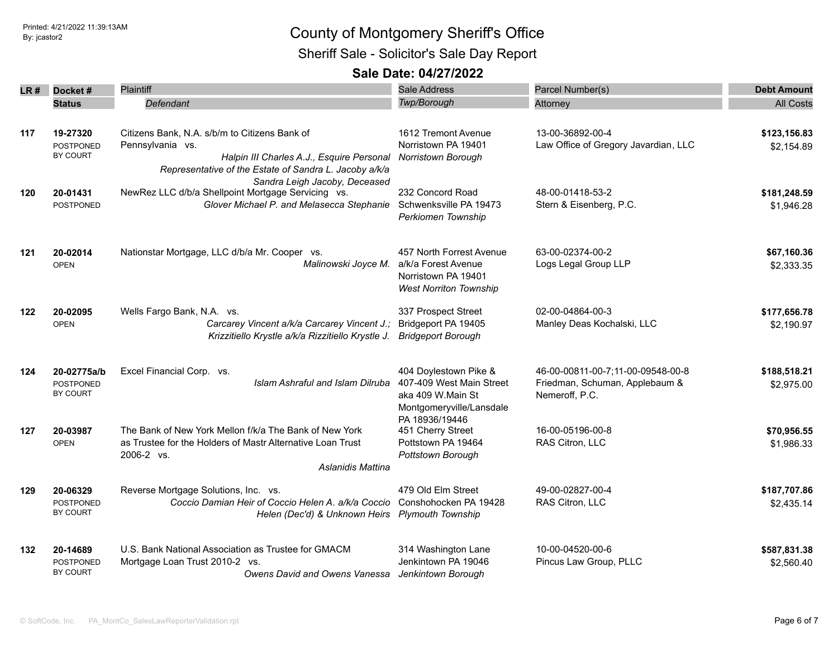## Printed: 4/21/2022 11:39:13AM **By: jcastor2** County of Montgomery Sheriff's Office Sheriff Sale - Solicitor's Sale Day Report

| LR# | Docket#          | <b>Plaintiff</b>                                                                    | Sale Address                  | Parcel Number(s)                     | <b>Debt Amount</b> |
|-----|------------------|-------------------------------------------------------------------------------------|-------------------------------|--------------------------------------|--------------------|
|     | <b>Status</b>    | Defendant                                                                           | Twp/Borough                   | Attorney                             | <b>All Costs</b>   |
|     |                  |                                                                                     |                               |                                      |                    |
| 117 | 19-27320         | Citizens Bank, N.A. s/b/m to Citizens Bank of                                       | 1612 Tremont Avenue           | 13-00-36892-00-4                     | \$123,156.83       |
|     | <b>POSTPONED</b> | Pennsylvania vs.                                                                    | Norristown PA 19401           | Law Office of Gregory Javardian, LLC | \$2,154.89         |
|     | BY COURT         | Halpin III Charles A.J., Esquire Personal                                           | Norristown Borough            |                                      |                    |
|     |                  | Representative of the Estate of Sandra L. Jacoby a/k/a                              |                               |                                      |                    |
|     | 20-01431         | Sandra Leigh Jacoby, Deceased<br>NewRez LLC d/b/a Shellpoint Mortgage Servicing vs. | 232 Concord Road              | 48-00-01418-53-2                     | \$181,248.59       |
| 120 | <b>POSTPONED</b> | Glover Michael P. and Melasecca Stephanie                                           | Schwenksville PA 19473        | Stern & Eisenberg, P.C.              | \$1,946.28         |
|     |                  |                                                                                     | Perkiomen Township            |                                      |                    |
|     |                  |                                                                                     |                               |                                      |                    |
| 121 | 20-02014         | Nationstar Mortgage, LLC d/b/a Mr. Cooper vs.                                       | 457 North Forrest Avenue      | 63-00-02374-00-2                     | \$67,160.36        |
|     | <b>OPEN</b>      | Malinowski Joyce M.                                                                 | a/k/a Forest Avenue           | Logs Legal Group LLP                 | \$2,333.35         |
|     |                  |                                                                                     | Norristown PA 19401           |                                      |                    |
|     |                  |                                                                                     | <b>West Norriton Township</b> |                                      |                    |
| 122 | 20-02095         | Wells Fargo Bank, N.A. vs.                                                          | 337 Prospect Street           | 02-00-04864-00-3                     | \$177,656.78       |
|     | <b>OPEN</b>      | Carcarey Vincent a/k/a Carcarey Vincent J.;                                         | Bridgeport PA 19405           | Manley Deas Kochalski, LLC           | \$2,190.97         |
|     |                  | Krizzitiello Krystle a/k/a Rizzitiello Krystle J.                                   | <b>Bridgeport Borough</b>     |                                      |                    |
| 124 | 20-02775a/b      | Excel Financial Corp. vs.                                                           | 404 Doylestown Pike &         | 46-00-00811-00-7;11-00-09548-00-8    | \$188,518.21       |
|     | POSTPONED        | Islam Ashraful and Islam Dilruba                                                    | 407-409 West Main Street      | Friedman, Schuman, Applebaum &       | \$2,975.00         |
|     | BY COURT         |                                                                                     | aka 409 W.Main St             | Nemeroff, P.C.                       |                    |
|     |                  |                                                                                     | Montgomeryville/Lansdale      |                                      |                    |
|     |                  |                                                                                     | PA 18936/19446                |                                      |                    |
| 127 | 20-03987         | The Bank of New York Mellon f/k/a The Bank of New York                              | 451 Cherry Street             | 16-00-05196-00-8                     | \$70,956.55        |
|     | <b>OPEN</b>      | as Trustee for the Holders of Mastr Alternative Loan Trust                          | Pottstown PA 19464            | RAS Citron, LLC                      | \$1,986.33         |
|     |                  | 2006-2 vs.<br>Aslanidis Mattina                                                     | Pottstown Borough             |                                      |                    |
|     |                  |                                                                                     |                               |                                      |                    |
| 129 | 20-06329         | Reverse Mortgage Solutions, Inc. vs.                                                | 479 Old Elm Street            | 49-00-02827-00-4                     | \$187,707.86       |
|     | <b>POSTPONED</b> | Coccio Damian Heir of Coccio Helen A. a/k/a Coccio                                  | Conshohocken PA 19428         | RAS Citron, LLC                      | \$2,435.14         |
|     | BY COURT         | Helen (Dec'd) & Unknown Heirs Plymouth Township                                     |                               |                                      |                    |
| 132 | 20-14689         | U.S. Bank National Association as Trustee for GMACM                                 | 314 Washington Lane           | 10-00-04520-00-6                     | \$587,831.38       |
|     | <b>POSTPONED</b> | Mortgage Loan Trust 2010-2 vs.                                                      | Jenkintown PA 19046           | Pincus Law Group, PLLC               | \$2,560.40         |
|     | BY COURT         | Owens David and Owens Vanessa                                                       | Jenkintown Borough            |                                      |                    |